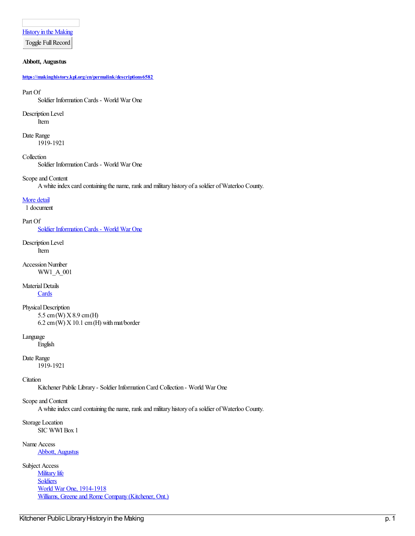[History](https://makinghistory.kpl.org/en) in the Making

Toggle Full Record

### **Abbott, Augustus**

**<https://makinghistory.kpl.org/en/permalink/descriptions6582>**

Part Of

Soldier InformationCards - World War One

Description Level Item

Date Range 1919-1921

Collection Soldier InformationCards - World War One

## Scope and Content

A white index card containing the name, rank and military history of a soldier of Waterloo County.

### [More](https://makinghistory.kpl.org/#) detail

1 document

### Part Of

Soldier [InformationCards](https://makinghistory.kpl.org/en/list?q=setName%253a%2522Soldier+Information+Cards+-+World+War+One%2522&p=1&ps=&sort=title_sort+asc) - World War One

Description Level Item

Accession Number WW1\_A\_001

Material Details

**[Cards](https://makinghistory.kpl.org/en/list?q=objectType%253a%2522Cards%2522&p=1&ps=&sort=title_sort+asc)** 

Physical Description 5.5 cm(W) X8.9 cm(H)  $6.2$  cm(W)  $X$  10.1 cm(H) with mat/border

Language

English

## Date Range

1919-1921

## **C**itation

Kitchener Public Library - Soldier InformationCard Collection - World War One

## Scopeand Content

A white index card containing the name, rank and military history of a soldier of Waterloo County.

Storage Location SIC WWI Box 1

Name Access

Abbott, [Augustus](https://makinghistory.kpl.org/en/list?q=name%253a%2522Abbott%252c+Augustus%2522&p=1&ps=&sort=title_sort+asc)

Subject Access **[Military](https://makinghistory.kpl.org/en/list?q=topic%253a%2522Military+life%2522&p=1&ps=&sort=title_sort+asc) life [Soldiers](https://makinghistory.kpl.org/en/list?q=topic%253a%2522Soldiers%2522&p=1&ps=&sort=title_sort+asc)** World War One, [1914-1918](https://makinghistory.kpl.org/en/list?q=topic%253a%2522World+War+One%252c+1914-1918%2522&p=1&ps=&sort=title_sort+asc) Williams, Greene and Rome Company (Kitchener, Ont.)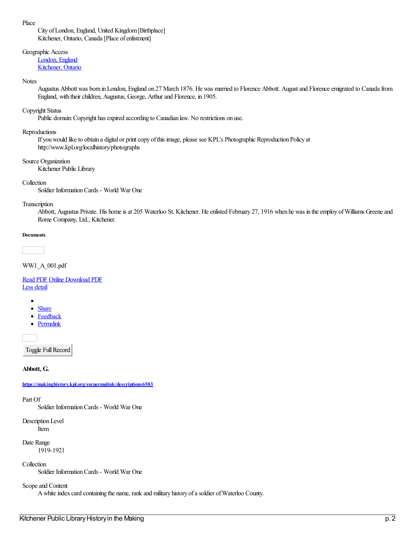Place

City ofLondon, England, United Kingdom[Birthplace] Kitchener, Ontario, Canada [Place of enlistment]

Geographic Access

[London,](https://makinghistory.kpl.org/en/list?q=place%253a%2522London%252c+England%2522&p=1&ps=&sort=title_sort+asc) England [Kitchener,](https://makinghistory.kpl.org/en/list?q=place%253a%2522Kitchener%252c+Ontario%2522&p=1&ps=&sort=title_sort+asc) Ontario

### **Notes**

Augustus Abbott was born in London, England on 27 March 1876. He was married to Florence Abbott. August and Florence emigrated to Canada from England, with their children, Augustus, George, Arthur and Florence, in 1905.

## Copyright Status

Public domain: Copyright has expired according to Canadian law. No restrictions on use.

Reproductions

If you would like to obtain a digital or print copy of this image, please see KPL's Photographic Reproduction Policy at http://www.kpl.org/localhistory/photographs

Source Organization

Kitchener Public Library

Collection

Soldier InformationCards - World War One

### Transcription

Abbott, Augustus Private. His home is at 205 Waterloo St. Kitchener. He enlisted February 27, 1916 when he was in the employ of Williams Greene and Rome Company, Ltd., Kitchener.

### **Documents**

WW1\_A\_001.pdf

Read PDF [Online](https://makinghistory.kpl.org/en/viewer?file=%252fmedia%252fWW1SIC%252fWW1_A_001.pdf#phrase=false&pagemode=bookmarks) [Download](https://makinghistory.kpl.org/media/WW1SIC/WW1_A_001.pdf) PDF Less [detail](https://makinghistory.kpl.org/#)

- 
- **[Share](https://makinghistory.kpl.org/#)**  $\bullet$
- [Feedback](mailto:digitalcollections@kpl.org?subject=Feedback%20on%20a%20record%20in%20History%20in%20the%20Making&body=https://makinghistory.kpl.org/en/permalink/descriptions6582)
- [Permalink](https://makinghistory.kpl.org/en/permalink/descriptions6582)

Toggle Full Record

**Abbott, G.**

**<https://makinghistory.kpl.org/en/permalink/descriptions6583>**

Part Of

Soldier InformationCards - World War One

Description Level Item

Date Range 1919-1921

**Collection** 

Soldier InformationCards - World War One

## Scopeand Content

A white index card containing the name, rank and military history of a soldier of Waterloo County.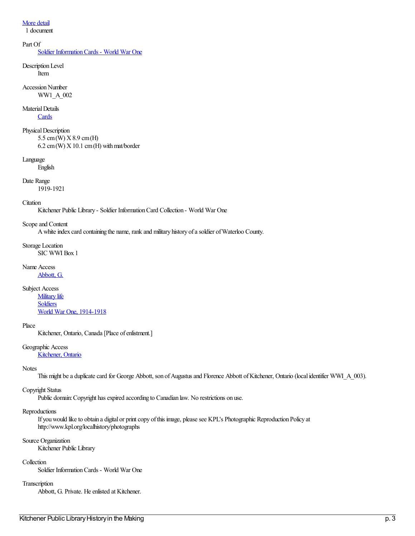## [More](https://makinghistory.kpl.org/#) detail

1 document

### Part Of

Soldier Information Cards - World War One

Description Level Item

**Accession Number** WW1\_A\_002

## Material Details

**[Cards](https://makinghistory.kpl.org/en/list?q=objectType%253a%2522Cards%2522&p=1&ps=&sort=title_sort+asc)** 

Physical Description

5.5 cm(W) X8.9 cm(H)  $6.2 \text{ cm(W)}$  X 10.1 cm (H) with mat/border

Language

English

Date Range

1919-1921

### **Citation**

Kitchener Public Library - Soldier InformationCard Collection - World War One

### Scope and Content

A white index card containing the name, rank and military history of a soldier of Waterloo County.

Storage Location SIC WWI Box 1

### Name Access [Abbott,](https://makinghistory.kpl.org/en/list?q=name%253a%2522Abbott%252c+G.%2522&p=1&ps=&sort=title_sort+asc) G.

Subject Access

[Military](https://makinghistory.kpl.org/en/list?q=topic%253a%2522Military+life%2522&p=1&ps=&sort=title_sort+asc) life [Soldiers](https://makinghistory.kpl.org/en/list?q=topic%253a%2522Soldiers%2522&p=1&ps=&sort=title_sort+asc) World War One, [1914-1918](https://makinghistory.kpl.org/en/list?q=topic%253a%2522World+War+One%252c+1914-1918%2522&p=1&ps=&sort=title_sort+asc)

### Place

Kitchener, Ontario, Canada [Place of enlistment.]

Geographic Access

[Kitchener,](https://makinghistory.kpl.org/en/list?q=place%253a%2522Kitchener%252c+Ontario%2522&p=1&ps=&sort=title_sort+asc) Ontario

## **Notes**

This might be a duplicate card for George Abbott, son of Augustus and Florence Abbott of Kitchener, Ontario (local identifier WWI\_A\_003).

## Copyright Status

Public domain: Copyright has expired according to Canadian law. No restrictions on use.

## Reproductions

If you would like to obtain a digital or print copy of this image, please see KPL's Photographic Reproduction Policy at http://www.kpl.org/localhistory/photographs

### Source Organization

Kitchener Public Library

## Collection

Soldier InformationCards - World War One

## Transcription

Abbott, G. Private. He enlisted at Kitchener.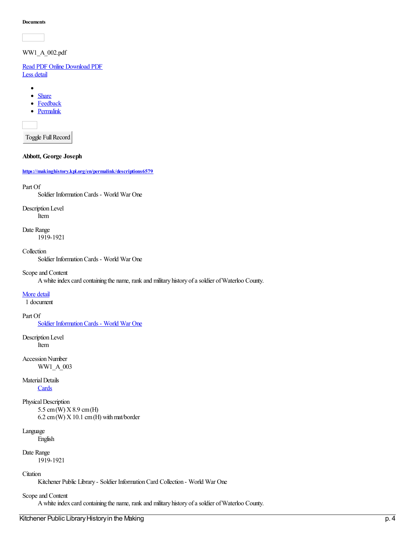WW1\_A\_002.pdf

Read PDF [Online](https://makinghistory.kpl.org/en/viewer?file=%252fmedia%252fWW1SIC%252fWW1_A_002.pdf#phrase=false&pagemode=bookmarks) [Download](https://makinghistory.kpl.org/media/WW1SIC/WW1_A_002.pdf) PDF Less [detail](https://makinghistory.kpl.org/#)

- $\bullet$ **[Share](https://makinghistory.kpl.org/#)**  $\bullet$
- [Feedback](mailto:digitalcollections@kpl.org?subject=Feedback%20on%20a%20record%20in%20History%20in%20the%20Making&body=https://makinghistory.kpl.org/en/permalink/descriptions6583)
- [Permalink](https://makinghistory.kpl.org/en/permalink/descriptions6583)

Toggle Full Record

**Abbott, George Joseph**

**<https://makinghistory.kpl.org/en/permalink/descriptions6579>**

### Part Of

Soldier InformationCards - World War One

Description Level Item

Date Range 1919-1921

### **Collection**

Soldier InformationCards - World War One

### Scopeand Content

A white index card containing the name, rank and military history of a soldier of Waterloo County.

### [More](https://makinghistory.kpl.org/#) detail

1 document

### Part Of

Soldier [InformationCards](https://makinghistory.kpl.org/en/list?q=setName%253a%2522Soldier+Information+Cards+-+World+War+One%2522&p=1&ps=&sort=title_sort+asc) - World War One

Description Level Item

**Accession Number** WW1\_A\_003

Material Details **[Cards](https://makinghistory.kpl.org/en/list?q=objectType%253a%2522Cards%2522&p=1&ps=&sort=title_sort+asc)** 

Physical Description

5.5 cm(W) X8.9 cm(H)  $6.2 \text{ cm}$  (W)  $X$  10.1 cm (H) with mat/border

## Language

English

Date Range

1919-1921

## **Citation**

Kitchener Public Library - Soldier InformationCard Collection - World War One

## Scope and Content

A white index card containing the name, rank and military history of a soldier of Waterloo County.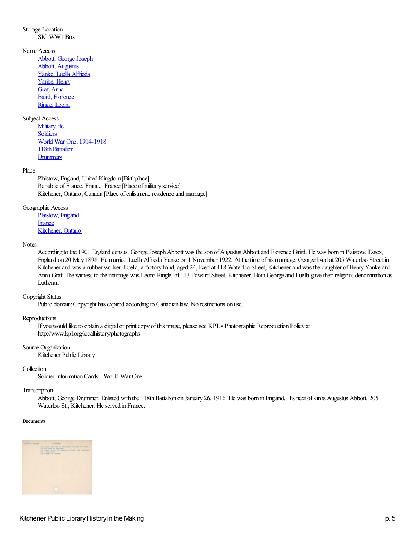## Storage Location SIC WW1 Box 1

### Name Access

Abbott, George Joseph Abbott, [Augustus](https://makinghistory.kpl.org/en/list?q=name%253a%2522Abbott%252c+Augustus%2522&p=1&ps=&sort=title_sort+asc) Yanke, Luella [Alfrieda](https://makinghistory.kpl.org/en/list?q=name%253a%2522Yanke%252c+Luella+Alfrieda%2522&p=1&ps=&sort=title_sort+asc) [Yanke,](https://makinghistory.kpl.org/en/list?q=name%253a%2522Yanke%252c+Henry%2522&p=1&ps=&sort=title_sort+asc) Henry [Graf,](https://makinghistory.kpl.org/en/list?q=name%253a%2522Graf%252c+Anna%2522&p=1&ps=&sort=title_sort+asc) Anna Baird, [Florence](https://makinghistory.kpl.org/en/list?q=name%253a%2522Baird%252c+Florence%2522&p=1&ps=&sort=title_sort+asc) [Ringle,](https://makinghistory.kpl.org/en/list?q=name%253a%2522Ringle%252c+Leona%2522&p=1&ps=&sort=title_sort+asc) Leona

## Subject Access

**[Military](https://makinghistory.kpl.org/en/list?q=topic%253a%2522Military+life%2522&p=1&ps=&sort=title_sort+asc) life [Soldiers](https://makinghistory.kpl.org/en/list?q=topic%253a%2522Soldiers%2522&p=1&ps=&sort=title_sort+asc)** World War One, [1914-1918](https://makinghistory.kpl.org/en/list?q=topic%253a%2522World+War+One%252c+1914-1918%2522&p=1&ps=&sort=title_sort+asc) 118th Battalion **[Drummers](https://makinghistory.kpl.org/en/list?q=topic%253a%2522Drummers%2522&p=1&ps=&sort=title_sort+asc)** 

### Place

Plaistow, England, United Kingdom [Birthplace] Republic of France, France, France [Place of military service] Kitchener, Ontario, Canada [Place of enlistment, residence and marriage]

### Geographic Access

[Plaistow,](https://makinghistory.kpl.org/en/list?q=place%253a%2522Plaistow%252c+England%2522&p=1&ps=&sort=title_sort+asc) England **[France](https://makinghistory.kpl.org/en/list?q=place%253a%2522France%2522&p=1&ps=&sort=title_sort+asc)** [Kitchener,](https://makinghistory.kpl.org/en/list?q=place%253a%2522Kitchener%252c+Ontario%2522&p=1&ps=&sort=title_sort+asc) Ontario

### **Notes**

According to the 1901 England census, George Joseph Abbott was the son of Augustus Abbott and Florence Baird. He was born in Plaistow, Essex, England on 20 May 1898. He married Luella Alfrieda Yanke on 1 November 1922. At the time of his marriage, George lived at 205 Waterloo Street in Kitchener and was a rubber worker. Luella, a factory hand, aged 24, lived at 118 Waterloo Street, Kitchener and was the daughter of Henry Yanke and Anna Graf. The witness to the marriage was Leona Ringle, of 113 Edward Street, Kitchener. BothGeorgeand Luella gavetheir religious denomination as Lutheran.

### Copyright Status

Public domain: Copyright has expired according to Canadian law. No restrictions on use.

### Reproductions

If you would like to obtain a digital or print copy of this image, please see KPL's Photographic Reproduction Policy at http://www.kpl.org/localhistory/photographs

### Source Organization

Kitchener Public Library

### Collection

Soldier InformationCards - World War One

## Transcription

Abbott, George Drummer. Enlisted with the 118th Battalion on January 26, 1916. He was born in England. His next of kin is Augustus Abbott, 205 Waterloo St., Kitchener. He served in France.

#### **Documents**

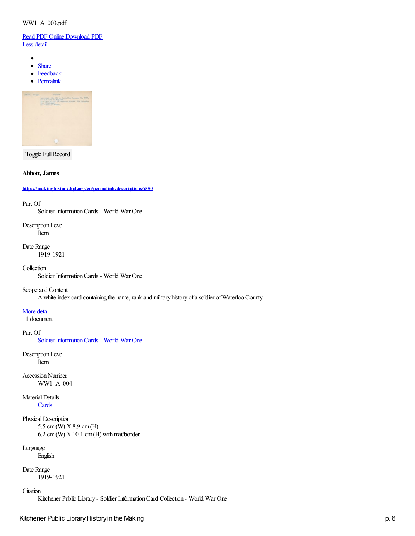## WW1\_A\_003.pdf

Read PDF [Online](https://makinghistory.kpl.org/en/viewer?file=%252fmedia%252fWW1SIC%252fWW1_A_003.pdf#phrase=false&pagemode=bookmarks) [Download](https://makinghistory.kpl.org/media/WW1SIC/WW1_A_003.pdf) PDF Less [detail](https://makinghistory.kpl.org/#)

- $\bullet$
- $\bullet$ **[Share](https://makinghistory.kpl.org/#)**
- **[Feedback](mailto:digitalcollections@kpl.org?subject=Feedback%20on%20a%20record%20in%20History%20in%20the%20Making&body=https://makinghistory.kpl.org/en/permalink/descriptions6579)**  $\bullet$
- **[Permalink](https://makinghistory.kpl.org/en/permalink/descriptions6579)**  $\bullet$



Toggle Full Record

### **Abbott, James**

**<https://makinghistory.kpl.org/en/permalink/descriptions6580>**

### Part Of

Soldier InformationCards - World War One

Description Level Item

Date Range 1919-1921

### Collection

Soldier InformationCards - World War One

## Scope and Content

A white index card containing the name, rank and military history of a soldier of Waterloo County.

### [More](https://makinghistory.kpl.org/#) detail

1 document

### Part Of

Soldier Information Cards - World War One

Description Level Item

**Accession Number** WW1\_A\_004

Material Details **[Cards](https://makinghistory.kpl.org/en/list?q=objectType%253a%2522Cards%2522&p=1&ps=&sort=title_sort+asc)** 

Physical Description

5.5 cm(W) X8.9 cm(H)  $6.2 \text{ cm}$ (W)  $X$  10.1 cm (H) with mat/border

## Language

English

Date Range

1919-1921

## **Citation**

Kitchener Public Library - Soldier InformationCard Collection - World War One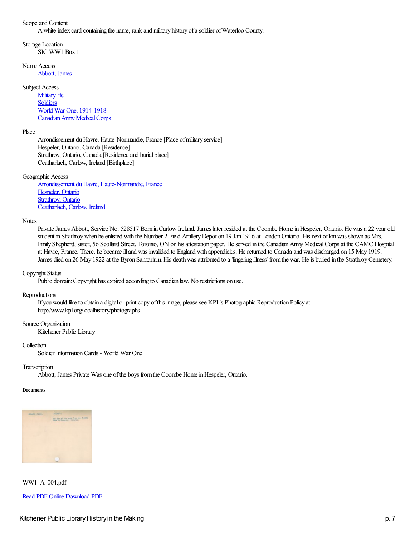Scopeand Content

A white index card containing the name, rank and military history of a soldier of Waterloo County.

Storage Location SIC WW1 Box 1

Name Access

[Abbott,](https://makinghistory.kpl.org/en/list?q=name%253a%2522Abbott%252c+James%2522&p=1&ps=&sort=title_sort+asc) James

Subject Access

**[Military](https://makinghistory.kpl.org/en/list?q=topic%253a%2522Military+life%2522&p=1&ps=&sort=title_sort+asc) life [Soldiers](https://makinghistory.kpl.org/en/list?q=topic%253a%2522Soldiers%2522&p=1&ps=&sort=title_sort+asc)** World War One, [1914-1918](https://makinghistory.kpl.org/en/list?q=topic%253a%2522World+War+One%252c+1914-1918%2522&p=1&ps=&sort=title_sort+asc) Canadian Army Medical Corps

Place

Arrondissement du Havre, Haute-Normandie, France [Place of military service] Hespeler, Ontario, Canada [Residence] Strathroy, Ontario, Canada [Residence and burial place] Ceatharlach, Carlow, Ireland [Birthplace]

Geographic Access

Arrondissement du Havre, [Haute-Normandie,](https://makinghistory.kpl.org/en/list?q=place%253a%2522Arrondissement+du+Havre%252c+Haute-Normandie%252c+France%2522&p=1&ps=&sort=title_sort+asc) France [Hespeler,](https://makinghistory.kpl.org/en/list?q=place%253a%2522Hespeler%252c+Ontario%2522&p=1&ps=&sort=title_sort+asc) Ontario [Strathroy,](https://makinghistory.kpl.org/en/list?q=place%253a%2522Strathroy%252c+Ontario%2522&p=1&ps=&sort=title_sort+asc) Ontario [Ceatharlach,](https://makinghistory.kpl.org/en/list?q=place%253a%2522Ceatharlach%252c+Carlow%252c+Ireland%2522&p=1&ps=&sort=title_sort+asc) Carlow, Ireland

### **Notes**

Private James Abbott, Service No. 528517 Born in Carlow Ireland, James later resided at the Coombe Home in Hespeler, Ontario. He was a 22 year old student in Strathroy when he enlisted with the Number 2 Field Artillery Depot on 19 Jan 1916 at London Ontario. His next of kin was shown as Mrs. Emily Shepherd, sister, 56 Scollard Street, Toronto, ON on his attestation paper. He served in the Canadian Army Medical Corps at the CAMC Hospital at Havre, France. There, he becameilland was invalided to England with appendicitis. Hereturned to Canadaand was discharged on 15 May 1919. James died on 26 May 1922 at the Byron Sanitarium. His death was attributed to a 'lingering illness' from the war. He is buried in the Strathroy Cemetery.

### Copyright Status

Public domain: Copyright has expired according to Canadian law. No restrictions on use.

### Reproductions

If you would like to obtain a digital or print copy of this image, please see KPL's Photographic Reproduction Policy at http://www.kpl.org/localhistory/photographs

### Source Organization

Kitchener Public Library

### **Collection**

Soldier InformationCards - World War One

**Transcription** 

Abbott, James Private Was one of the boys from the Coombe Home in Hespeler, Ontario.

#### **Documents**



WW1\_A\_004.pdf Read PDF [Online](https://makinghistory.kpl.org/en/viewer?file=%252fmedia%252fWW1SIC%252fWW1_A_004.pdf#phrase=false&pagemode=bookmarks) [Download](https://makinghistory.kpl.org/media/WW1SIC/WW1_A_004.pdf) PDF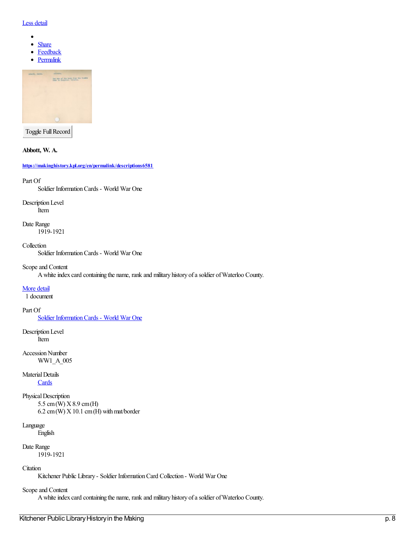### Less [detail](https://makinghistory.kpl.org/#)

- $\bullet$
- $\bullet$ **[Share](https://makinghistory.kpl.org/#)**
- $\bullet$ **[Feedback](mailto:digitalcollections@kpl.org?subject=Feedback%20on%20a%20record%20in%20History%20in%20the%20Making&body=https://makinghistory.kpl.org/en/permalink/descriptions6580)**
- **[Permalink](https://makinghistory.kpl.org/en/permalink/descriptions6580)**



Toggle Full Record

### **Abbott, W. A.**

**<https://makinghistory.kpl.org/en/permalink/descriptions6581>**

### Part Of

Soldier InformationCards - World War One

Description Level

Item

Date Range 1919-1921

Collection Soldier InformationCards - World War One

Scopeand Content

A white index card containing the name, rank and military history of a soldier of Waterloo County.

### [More](https://makinghistory.kpl.org/#) detail

1 document

### Part Of

Soldier [InformationCards](https://makinghistory.kpl.org/en/list?q=setName%253a%2522Soldier+Information+Cards+-+World+War+One%2522&p=1&ps=&sort=title_sort+asc) - World War One

Description Level Item

**Accession Number** WW1\_A\_005

## Material Details

**[Cards](https://makinghistory.kpl.org/en/list?q=objectType%253a%2522Cards%2522&p=1&ps=&sort=title_sort+asc)** 

```
Physical Description
5.5 cm(W) X8.9 cm(H)
6.2 \text{ cm}(W) X 10.1 cm (H) with mat/border
```
Language

English

Date Range

1919-1921

## **C**itation

Kitchener Public Library - Soldier InformationCard Collection - World War One

## Scope and Content

A white index card containing the name, rank and military history of a soldier of Waterloo County.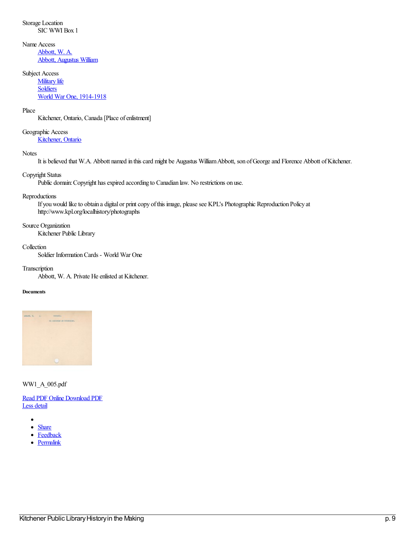Name Access [Abbott,](https://makinghistory.kpl.org/en/list?q=name%253a%2522Abbott%252c+W.+A.%2522&p=1&ps=&sort=title_sort+asc) W. A.

Abbott, [Augustus](https://makinghistory.kpl.org/en/list?q=name%253a%2522Abbott%252c+Augustus+William%2522&p=1&ps=&sort=title_sort+asc) William

## Subject Access

**[Military](https://makinghistory.kpl.org/en/list?q=topic%253a%2522Military+life%2522&p=1&ps=&sort=title_sort+asc)** life **[Soldiers](https://makinghistory.kpl.org/en/list?q=topic%253a%2522Soldiers%2522&p=1&ps=&sort=title_sort+asc)** World War One, [1914-1918](https://makinghistory.kpl.org/en/list?q=topic%253a%2522World+War+One%252c+1914-1918%2522&p=1&ps=&sort=title_sort+asc)

## Place

Kitchener, Ontario, Canada [Place of enlistment]

## Geographic Access

[Kitchener,](https://makinghistory.kpl.org/en/list?q=place%253a%2522Kitchener%252c+Ontario%2522&p=1&ps=&sort=title_sort+asc) Ontario

## **Notes**

It is believed that W.A. Abbott named in this card might be Augustus William Abbott, son of George and Florence Abbott of Kitchener.

## Copyright Status

Public domain: Copyright has expired according to Canadian law. No restrictions on use.

## Reproductions

If you would like to obtain a digital or print copy of this image, please see KPL's Photographic Reproduction Policy at http://www.kpl.org/localhistory/photographs

## Source Organization

Kitchener Public Library

## Collection

Soldier InformationCards - World War One

## Transcription

Abbott, W. A. Private He enlisted at Kitchener.

## **Documents**



## WW1\_A\_005.pdf

Read PDF [Online](https://makinghistory.kpl.org/en/viewer?file=%252fmedia%252fWW1SIC%252fWW1_A_005.pdf#phrase=false&pagemode=bookmarks) [Download](https://makinghistory.kpl.org/media/WW1SIC/WW1_A_005.pdf) PDF Less [detail](https://makinghistory.kpl.org/#)

- $\bullet$
- **[Share](https://makinghistory.kpl.org/#)**
- **[Feedback](mailto:digitalcollections@kpl.org?subject=Feedback%20on%20a%20record%20in%20History%20in%20the%20Making&body=https://makinghistory.kpl.org/en/permalink/descriptions6581)**
- [Permalink](https://makinghistory.kpl.org/en/permalink/descriptions6581)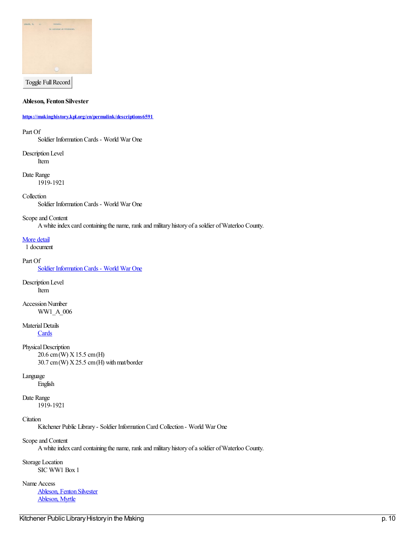

Toggle Full Record

**Ableson, Fenton Silvester**

**<https://makinghistory.kpl.org/en/permalink/descriptions6591>**

Part Of

Soldier InformationCards - World War One

Description Level Item

Date Range 1919-1921

Collection

Soldier InformationCards - World War One

Scopeand Content

A white index card containing the name, rank and military history of a soldier of Waterloo County.

[More](https://makinghistory.kpl.org/#) detail

1 document

Part Of

Soldier [InformationCards](https://makinghistory.kpl.org/en/list?q=setName%253a%2522Soldier+Information+Cards+-+World+War+One%2522&p=1&ps=&sort=title_sort+asc) - World War One

Description Level Item

**Accession Number** WW1\_A\_006

Material Details

**[Cards](https://makinghistory.kpl.org/en/list?q=objectType%253a%2522Cards%2522&p=1&ps=&sort=title_sort+asc)** 

Physical Description 20.6 cm(W) X15.5 cm(H)  $30.7$  cm (W)  $X25.5$  cm (H) with mat/border

### Language

English

Date Range

1919-1921

**Citation** 

Kitchener Public Library - Soldier Information Card Collection - World War One

Scope and Content

A white index card containing the name, rank and military history of a soldier of Waterloo County.

Storage Location SIC WW1 Box 1

Name Access

[Ableson,](https://makinghistory.kpl.org/en/list?q=name%253a%2522Ableson%252c+Fenton+Silvester%2522&p=1&ps=&sort=title_sort+asc) Fenton Silvester [Ableson,](https://makinghistory.kpl.org/en/list?q=name%253a%2522Ableson%252c+Myrtle%2522&p=1&ps=&sort=title_sort+asc) Myrtle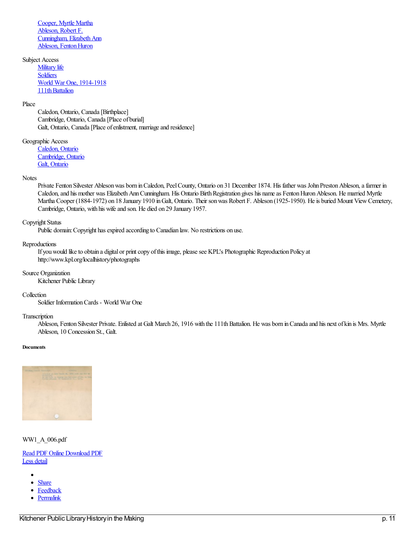[Cooper,](https://makinghistory.kpl.org/en/list?q=name%253a%2522Cooper%252c+Myrtle+Martha%2522&p=1&ps=&sort=title_sort+asc) Myrtle Martha [Ableson,](https://makinghistory.kpl.org/en/list?q=name%253a%2522Ableson%252c+Robert+F.%2522&p=1&ps=&sort=title_sort+asc) Robert F. Cunningham, Elizabeth Ann Ableson, Fenton Huron

## Subject Access

**[Military](https://makinghistory.kpl.org/en/list?q=topic%253a%2522Military+life%2522&p=1&ps=&sort=title_sort+asc) life** [Soldiers](https://makinghistory.kpl.org/en/list?q=topic%253a%2522Soldiers%2522&p=1&ps=&sort=title_sort+asc) World War One, [1914-1918](https://makinghistory.kpl.org/en/list?q=topic%253a%2522World+War+One%252c+1914-1918%2522&p=1&ps=&sort=title_sort+asc) 111th Battalion

### Place

Caledon, Ontario, Canada [Birthplace] Cambridge, Ontario, Canada [Place of burial] Galt, Ontario, Canada [Place of enlistment, marriage and residence]

### Geographic Access

[Caledon,](https://makinghistory.kpl.org/en/list?q=place%253a%2522Caledon%252c+Ontario%2522&p=1&ps=&sort=title_sort+asc) Ontario [Cambridge,](https://makinghistory.kpl.org/en/list?q=place%253a%2522Cambridge%252c+Ontario%2522&p=1&ps=&sort=title_sort+asc) Ontario Galt, [Ontario](https://makinghistory.kpl.org/en/list?q=place%253a%2522Galt%252c+Ontario%2522&p=1&ps=&sort=title_sort+asc)

#### **Notes**

Private Fenton Silvester Ableson was born in Caledon, Peel County, Ontario on 31 December 1874. His father was John Preston Ableson, a farmer in Caledon, and his mother was Elizabeth Ann Cunningham. His Ontario Birth Registration gives his name as Fenton Huron Ableson. He married Myrtle Martha Cooper (1884-1972) on 18 January 1910 inGalt, Ontario. Their sonwas Robert F. Ableson (1925-1950). Heis buried Mount ViewCemetery, Cambridge, Ontario, with his wifeand son. He died on 29 January 1957.

#### Copyright Status

Public domain: Copyright has expired according to Canadian law. No restrictions on use.

#### Reproductions

If you would like to obtain a digital or print copy of this image, please see KPL's Photographic Reproduction Policy at http://www.kpl.org/localhistory/photographs

## Source Organization

Kitchener Public Library

### Collection

Soldier InformationCards - World War One

### Transcription

Ableson, Fenton Silvester Private. Enlisted at Galt March 26, 1916 with the 111th Battalion. He was born in Canada and his next of kin is Mrs. Myrtle Ableson, 10 Concession St., Galt.

### **Documents**



### WW1\_A\_006.pdf

### Read PDF [Online](https://makinghistory.kpl.org/en/viewer?file=%252fmedia%252fWW1SIC%252fWW1_A_006.pdf#phrase=false&pagemode=bookmarks) [Download](https://makinghistory.kpl.org/media/WW1SIC/WW1_A_006.pdf) PDF Less [detail](https://makinghistory.kpl.org/#)

- $\bullet$
- $\bullet$ **[Share](https://makinghistory.kpl.org/#)**
- **[Feedback](mailto:digitalcollections@kpl.org?subject=Feedback%20on%20a%20record%20in%20History%20in%20the%20Making&body=https://makinghistory.kpl.org/en/permalink/descriptions6591)**  $\bullet$
- [Permalink](https://makinghistory.kpl.org/en/permalink/descriptions6591)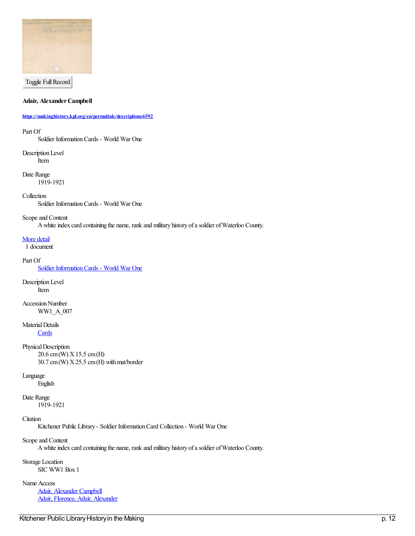

Toggle Full Record

**Adair, Alexander Campbell** 

### **<https://makinghistory.kpl.org/en/permalink/descriptions6592>**

### Part Of

Soldier InformationCards - World War One

Description Level Item

Date Range 1919-1921

### **Collection**

Soldier InformationCards - World War One

### Scopeand Content

A white index card containing the name, rank and military history of a soldier of Waterloo County.

### [More](https://makinghistory.kpl.org/#) detail

1 document

### Part Of

Soldier Information Cards - World War One

Description Level Item

**Accession Number** WW1\_A\_007

## Material Details

**[Cards](https://makinghistory.kpl.org/en/list?q=objectType%253a%2522Cards%2522&p=1&ps=&sort=title_sort+asc)** 

Physical Description 20.6 cm(W) X15.5 cm(H)  $30.7 \text{ cm}$  (W)  $X25.5 \text{ cm}$  (H) with mat/border

### Language

English

## Date Range

1919-1921

## **C**itation

Kitchener Public Library - Soldier InformationCard Collection - World War One

### Scopeand Content

A white index card containing the name, rank and military history of a soldier of Waterloo County.

## Storage Location SIC WW1 Box 1

Name Access

Adair, [Alexander](https://makinghistory.kpl.org/en/list?q=name%253a%2522Adair%252c+Alexander+Campbell%2522&p=1&ps=&sort=title_sort+asc) Campbell Adair, Florence, Adair, [Alexander](https://makinghistory.kpl.org/en/list?q=name%253a%2522Adair%252c+Florence%252c+Adair%252c+Alexander%2522&p=1&ps=&sort=title_sort+asc)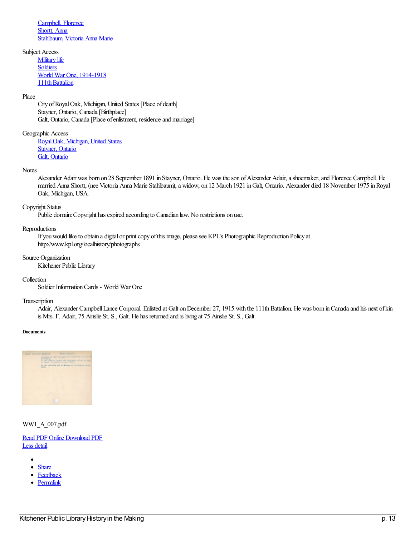[Campbell,](https://makinghistory.kpl.org/en/list?q=name%253a%2522Campbell%252c+Florence%2522&p=1&ps=&sort=title_sort+asc) Florence [Shortt,](https://makinghistory.kpl.org/en/list?q=name%253a%2522Shortt%252c+Anna%2522&p=1&ps=&sort=title_sort+asc) Anna [Stahlbaum,](https://makinghistory.kpl.org/en/list?q=name%253a%2522Stahlbaum%252c+Victoria+Anna+Marie%2522&p=1&ps=&sort=title_sort+asc) Victoria Anna Marie

Subject Access **[Military](https://makinghistory.kpl.org/en/list?q=topic%253a%2522Military+life%2522&p=1&ps=&sort=title_sort+asc) life** [Soldiers](https://makinghistory.kpl.org/en/list?q=topic%253a%2522Soldiers%2522&p=1&ps=&sort=title_sort+asc) World War One, [1914-1918](https://makinghistory.kpl.org/en/list?q=topic%253a%2522World+War+One%252c+1914-1918%2522&p=1&ps=&sort=title_sort+asc) 111th Battalion

### Place

City of Royal Oak, Michigan, United States [Place of death] Stayner, Ontario, Canada [Birthplace] Galt, Ontario, Canada [Place of enlistment, residence and marriage]

Geographic Access

[RoyalOak,](https://makinghistory.kpl.org/en/list?q=place%253a%2522Royal+Oak%252c+Michigan%252c+United+States%2522&p=1&ps=&sort=title_sort+asc) Michigan, United States [Stayner,](https://makinghistory.kpl.org/en/list?q=place%253a%2522Stayner%252c+Ontario%2522&p=1&ps=&sort=title_sort+asc) Ontario Galt, [Ontario](https://makinghistory.kpl.org/en/list?q=place%253a%2522Galt%252c+Ontario%2522&p=1&ps=&sort=title_sort+asc)

#### **Notes**

Alexander Adair was born on 28 September 1891 in Stayner, Ontario. He was the son of Alexander Adair, a shoemaker, and Florence Campbell. He married Anna Shortt, (nee Victoria Anna Marie Stahlbaum), a widow, on 12 March 1921 in Galt, Ontario. Alexander died 18 November 1975 in Royal Oak, Michigan, USA.

#### Copyright Status

Public domain: Copyright has expired according to Canadian law. No restrictions on use.

#### Reproductions

If you would like to obtain a digital or print copy of this image, please see KPL's Photographic Reproduction Policy at http://www.kpl.org/localhistory/photographs

#### Source Organization

Kitchener Public Library

### Collection

Soldier InformationCards - World War One

#### Transcription

Adair, Alexander Campbell Lance Corporal. Enlisted at Galt on December 27, 1915 with the 111th Battalion. He was born in Canada and his next of kin is Mrs. F. Adair, 75 Ainslie St. S., Galt. He has returned and is living at 75 Ainslie St. S., Galt.

#### **Documents**



WW1\_A\_007.pdf

### Read PDF [Online](https://makinghistory.kpl.org/en/viewer?file=%252fmedia%252fWW1SIC%252fWW1_A_007.pdf#phrase=false&pagemode=bookmarks) [Download](https://makinghistory.kpl.org/media/WW1SIC/WW1_A_007.pdf) PDF Less [detail](https://makinghistory.kpl.org/#)

- 
- **[Share](https://makinghistory.kpl.org/#)**  $\bullet$
- $\bullet$ **[Feedback](mailto:digitalcollections@kpl.org?subject=Feedback%20on%20a%20record%20in%20History%20in%20the%20Making&body=https://makinghistory.kpl.org/en/permalink/descriptions6592)**
- [Permalink](https://makinghistory.kpl.org/en/permalink/descriptions6592)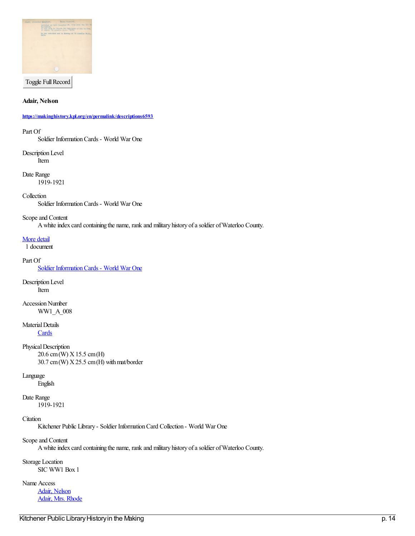

Toggle Full Record

**Adair, Nelson**

**<https://makinghistory.kpl.org/en/permalink/descriptions6593>**

#### Part Of

Soldier InformationCards - World War One

Description Level Item

Date Range 1919-1921

Collection

Soldier InformationCards - World War One

#### Scopeand Content

A white index card containing the name, rank and military history of a soldier of Waterloo County.

[More](https://makinghistory.kpl.org/#) detail

1 document

#### Part Of

Soldier Information Cards - World War One

Description Level Item

**Accession Number** WW1\_A\_008

Material Details

**[Cards](https://makinghistory.kpl.org/en/list?q=objectType%253a%2522Cards%2522&p=1&ps=&sort=title_sort+asc)** 

Physical Description 20.6 cm(W) X15.5 cm(H)  $30.7 \text{ cm}$  (W)  $X25.5 \text{ cm}$  (H) with mat/border

### Language

English

Date Range

1919-1921

## **C**itation

Kitchener Public Library - Soldier InformationCard Collection - World War One

Scopeand Content

A white index card containing the name, rank and military history of a soldier of Waterloo County.

Storage Location SIC WW1 Box 1

Name Access Adair, [Nelson](https://makinghistory.kpl.org/en/list?q=name%253a%2522Adair%252c+Nelson%2522&p=1&ps=&sort=title_sort+asc) Adair, Mrs. [Rhode](https://makinghistory.kpl.org/en/list?q=name%253a%2522Adair%252c+Mrs.+Rhode%2522&p=1&ps=&sort=title_sort+asc)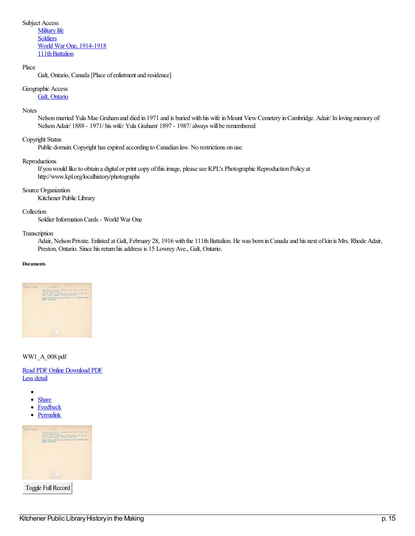Subject Access

**[Military](https://makinghistory.kpl.org/en/list?q=topic%253a%2522Military+life%2522&p=1&ps=&sort=title_sort+asc)** life **[Soldiers](https://makinghistory.kpl.org/en/list?q=topic%253a%2522Soldiers%2522&p=1&ps=&sort=title_sort+asc)** World War One, [1914-1918](https://makinghistory.kpl.org/en/list?q=topic%253a%2522World+War+One%252c+1914-1918%2522&p=1&ps=&sort=title_sort+asc) 111th Battalion

## Place

Galt, Ontario, Canada [Place of enlistment and residence]

## Geographic Access

## Galt, [Ontario](https://makinghistory.kpl.org/en/list?q=place%253a%2522Galt%252c+Ontario%2522&p=1&ps=&sort=title_sort+asc)

### **Notes**

Nelson married Yula Mae Graham and died in 1971 and is buried with his wife in Mount View Cemetery in Cambridge. Adair/ In loving memory of Nelson Adair/ 1888 - 1971/ his wife/ Yula Graham/ 1897 - 1987/ always will be remembered

## Copyright Status

Public domain: Copyright has expired according to Canadian law. No restrictions on use.

### Reproductions

If you would like to obtain a digital or print copy of this image, please see KPL's Photographic Reproduction Policy at http://www.kpl.org/localhistory/photographs

### Source Organization

Kitchener Public Library

### Collection

Soldier InformationCards - World War One

### Transcription

Adair, Nelson Private. Enlisted at Galt, February 28, 1916 with the 111th Battalion. He was born in Canada and his next of kin is Mrs. Rhode Adair, Preston, Ontario. Since his return his address is 15 Lowrey Ave., Galt, Ontario.

#### **Documents**



WW1\_A\_008.pdf

Read PDF [Online](https://makinghistory.kpl.org/en/viewer?file=%252fmedia%252fWW1SIC%252fWW1_A_008.pdf#phrase=false&pagemode=bookmarks) [Download](https://makinghistory.kpl.org/media/WW1SIC/WW1_A_008.pdf) PDF Less [detail](https://makinghistory.kpl.org/#)

- ٠
- $\bullet$ **[Share](https://makinghistory.kpl.org/#)**
- $\bullet$ **[Feedback](mailto:digitalcollections@kpl.org?subject=Feedback%20on%20a%20record%20in%20History%20in%20the%20Making&body=https://makinghistory.kpl.org/en/permalink/descriptions6593)**
- $\bullet$ **[Permalink](https://makinghistory.kpl.org/en/permalink/descriptions6593)**



Toggle Full Record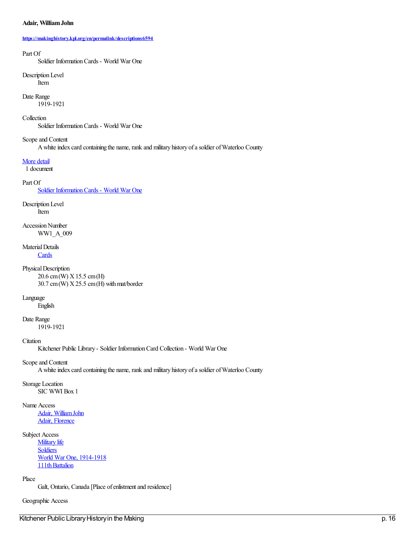### **Adair, WilliamJohn**

#### **<https://makinghistory.kpl.org/en/permalink/descriptions6594>**

#### Part Of

Soldier InformationCards - World War One

#### Description Level Item

Date Range

1919-1921

## Collection

Soldier InformationCards - World War One

### Scope and Content

A white index card containing the name, rank and military history of a soldier of Waterloo County

### [More](https://makinghistory.kpl.org/#) detail

1 document

## Part Of

Soldier Information Cards - World War One

## Description Level

Item

## Accession Number WW1\_A\_009

# Material Details

**[Cards](https://makinghistory.kpl.org/en/list?q=objectType%253a%2522Cards%2522&p=1&ps=&sort=title_sort+asc)** 

## Physical Description

20.6 cm(W) X15.5 cm(H)  $30.7$  cm (W)  $X25.5$  cm (H) with mat/border

## Language

English

## Date Range

1919-1921

## **C**itation

Kitchener Public Library - Soldier InformationCard Collection - World War One

## Scopeand Content

A white index card containing the name, rank and military history of a soldier of Waterloo County

## Storage Location

SIC WWI Box 1

## Name Access

Adair, William John Adair, [Florence](https://makinghistory.kpl.org/en/list?q=name%253a%2522Adair%252c+Florence%2522&p=1&ps=&sort=title_sort+asc)

## Subject Access

**[Military](https://makinghistory.kpl.org/en/list?q=topic%253a%2522Military+life%2522&p=1&ps=&sort=title_sort+asc) life [Soldiers](https://makinghistory.kpl.org/en/list?q=topic%253a%2522Soldiers%2522&p=1&ps=&sort=title_sort+asc)** World War One, [1914-1918](https://makinghistory.kpl.org/en/list?q=topic%253a%2522World+War+One%252c+1914-1918%2522&p=1&ps=&sort=title_sort+asc) 111th Battalion

### Place

Galt, Ontario, Canada [Place of enlistment and residence]

## Geographic Access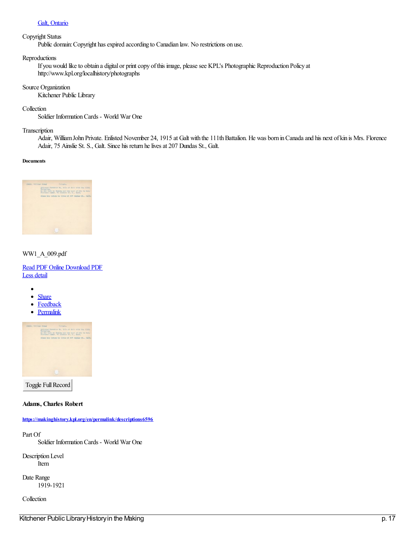## Galt, [Ontario](https://makinghistory.kpl.org/en/list?q=place%253a%2522Galt%252c+Ontario%2522&p=1&ps=&sort=title_sort+asc)

### Copyright Status

Public domain: Copyright has expired according to Canadian law. No restrictions on use.

### Reproductions

If you would like to obtain a digital or print copy of this image, please see KPL's Photographic Reproduction Policy at http://www.kpl.org/localhistory/photographs

### Source Organization

Kitchener Public Library

### Collection

Soldier InformationCards - World War One

### Transcription

Adair, William John Private. Enlisted November 24, 1915 at Galt with the 111th Battalion. He was born in Canada and his next of kin is Mrs. Florence Adair, 75 Ainslie St. S., Galt. Since his return he lives at 207 Dundas St., Galt.

### **Documents**



### WW1\_A\_009.pdf

Read PDF [Online](https://makinghistory.kpl.org/en/viewer?file=%252fmedia%252fWW1SIC%252fWW1_A_009.pdf#phrase=false&pagemode=bookmarks) [Download](https://makinghistory.kpl.org/media/WW1SIC/WW1_A_009.pdf) PDF Less [detail](https://makinghistory.kpl.org/#)

- $\bullet$  $\bullet$ **[Share](https://makinghistory.kpl.org/#)**
- $\bullet$ **[Feedback](mailto:digitalcollections@kpl.org?subject=Feedback%20on%20a%20record%20in%20History%20in%20the%20Making&body=https://makinghistory.kpl.org/en/permalink/descriptions6594)**
- $\bullet$ **[Permalink](https://makinghistory.kpl.org/en/permalink/descriptions6594)**



Toggle Full Record

### **Adams, Charles Robert**

**<https://makinghistory.kpl.org/en/permalink/descriptions6596>**

Part Of

Soldier InformationCards - World War One

Description Level Item

Date Range 1919-1921

Collection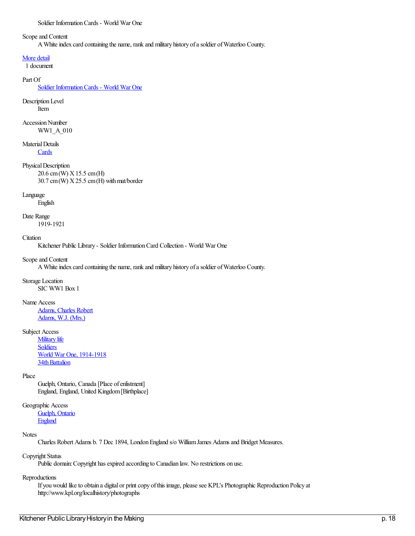## Scope and Content

A White index card containing the name, rank and military history of a soldier of Waterloo County.

### [More](https://makinghistory.kpl.org/#) detail

1 document

### Part Of

Soldier [InformationCards](https://makinghistory.kpl.org/en/list?q=setName%253a%2522Soldier+Information+Cards+-+World+War+One%2522&p=1&ps=&sort=title_sort+asc) - World War One

#### Description Level Item

Accession Number WW1\_A\_010

## Material Details

**[Cards](https://makinghistory.kpl.org/en/list?q=objectType%253a%2522Cards%2522&p=1&ps=&sort=title_sort+asc)** 

## Physical Description

20.6 cm(W) X15.5 cm(H)  $30.7$  cm (W)  $X25.5$  cm (H) with mat/border

## Language

English

## Date Range

1919-1921

### **C**itation

Kitchener Public Library - Soldier Information Card Collection - World War One

### Scope and Content

A White index card containing the name, rank and military history of a soldier of Waterloo County.

# Storage Location

SIC WW1 Box 1

## Name Access

[Adams,](https://makinghistory.kpl.org/en/list?q=name%253a%2522Adams%252c+Charles+Robert%2522&p=1&ps=&sort=title_sort+asc) Charles Robert [Adams,](https://makinghistory.kpl.org/en/list?q=name%253a%2522Adams%252c+W.J.+(Mrs.)%2522&p=1&ps=&sort=title_sort+asc) W.J. (Mrs.)

## Subject Access

**[Military](https://makinghistory.kpl.org/en/list?q=topic%253a%2522Military+life%2522&p=1&ps=&sort=title_sort+asc) life [Soldiers](https://makinghistory.kpl.org/en/list?q=topic%253a%2522Soldiers%2522&p=1&ps=&sort=title_sort+asc)** World War One, [1914-1918](https://makinghistory.kpl.org/en/list?q=topic%253a%2522World+War+One%252c+1914-1918%2522&p=1&ps=&sort=title_sort+asc) 34th Battalion

## Place

Guelph, Ontario, Canada [Place of enlistment] England, England, United Kingdom[Birthplace]

## Geographic Access

[Guelph,](https://makinghistory.kpl.org/en/list?q=place%253a%2522Guelph%252c+Ontario%2522&p=1&ps=&sort=title_sort+asc) Ontario **[England](https://makinghistory.kpl.org/en/list?q=place%253a%2522England%2522&p=1&ps=&sort=title_sort+asc)** 

### **Notes**

Charles Robert Adams b. 7 Dec 1894, LondonEngland s/o WilliamJames Adamsand Bridget Measures.

## Copyright Status

Public domain: Copyright has expired according to Canadian law. No restrictions on use.

## Reproductions

If you would like to obtain a digital or print copy of this image, please see KPL's Photographic Reproduction Policy at http://www.kpl.org/localhistory/photographs